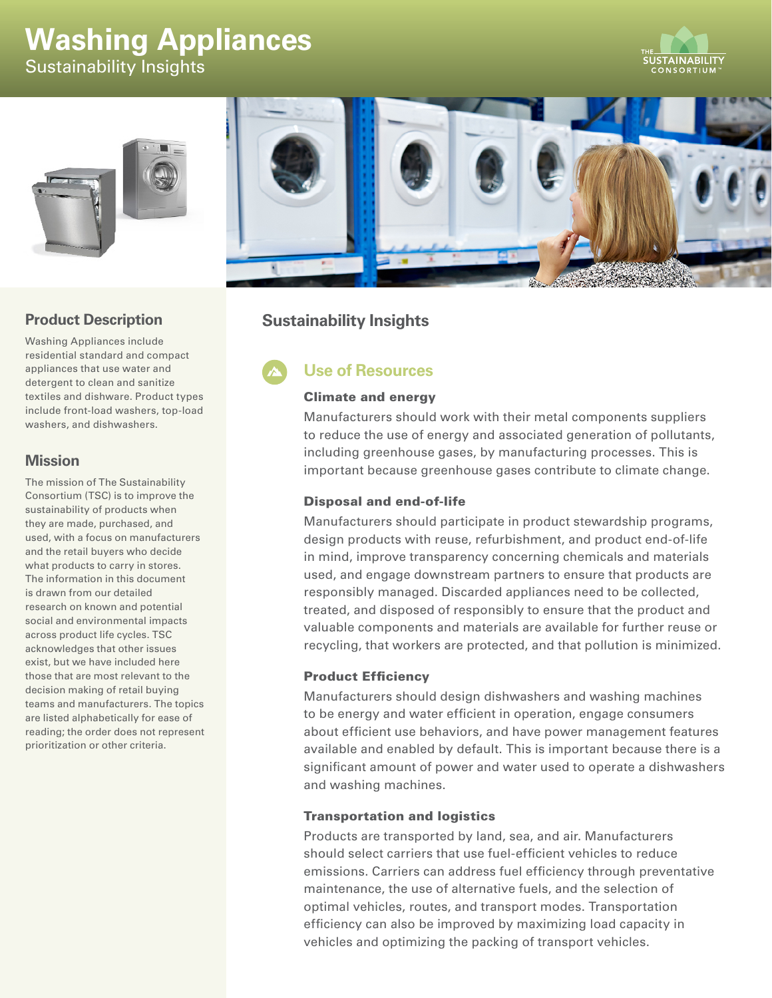# **Washing Appliances**  Sustainability Insights







## **Product Description**

Washing Appliances include residential standard and compact appliances that use water and detergent to clean and sanitize textiles and dishware. Product types include front-load washers, top-load washers, and dishwashers.

### **Mission**

The mission of The Sustainability Consortium (TSC) is to improve the sustainability of products when they are made, purchased, and used, with a focus on manufacturers and the retail buyers who decide what products to carry in stores. The information in this document is drawn from our detailed research on known and potential social and environmental impacts across product life cycles. TSC acknowledges that other issues exist, but we have included here those that are most relevant to the decision making of retail buying teams and manufacturers. The topics are listed alphabetically for ease of reading; the order does not represent prioritization or other criteria.

# **Sustainability Insights**

# **Use of Resources**

#### Climate and energy

Manufacturers should work with their metal components suppliers to reduce the use of energy and associated generation of pollutants, including greenhouse gases, by manufacturing processes. This is important because greenhouse gases contribute to climate change.

#### Disposal and end-of-life

Manufacturers should participate in product stewardship programs, design products with reuse, refurbishment, and product end-of-life in mind, improve transparency concerning chemicals and materials used, and engage downstream partners to ensure that products are responsibly managed. Discarded appliances need to be collected, treated, and disposed of responsibly to ensure that the product and valuable components and materials are available for further reuse or recycling, that workers are protected, and that pollution is minimized.

#### Product Efficiency

Manufacturers should design dishwashers and washing machines to be energy and water efficient in operation, engage consumers about efficient use behaviors, and have power management features available and enabled by default. This is important because there is a significant amount of power and water used to operate a dishwashers and washing machines.

#### Transportation and logistics

Products are transported by land, sea, and air. Manufacturers should select carriers that use fuel-efficient vehicles to reduce emissions. Carriers can address fuel efficiency through preventative maintenance, the use of alternative fuels, and the selection of optimal vehicles, routes, and transport modes. Transportation efficiency can also be improved by maximizing load capacity in vehicles and optimizing the packing of transport vehicles.